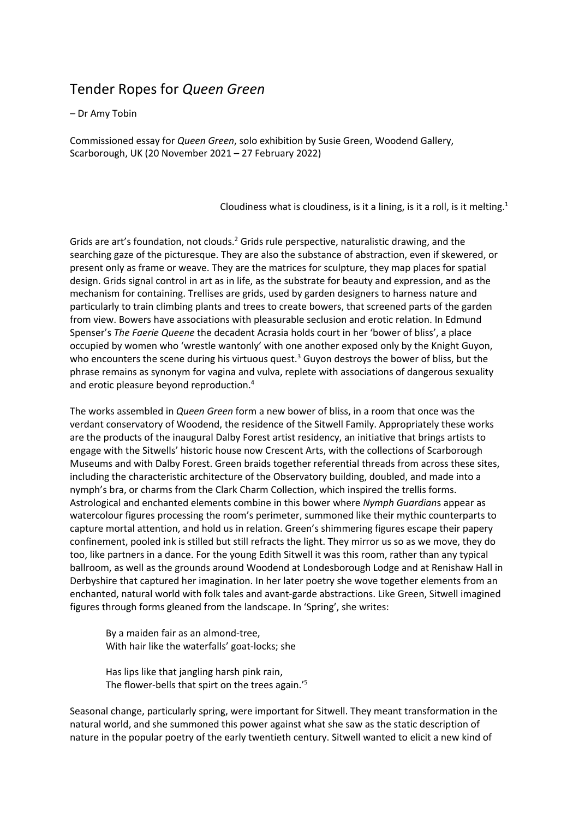## Tender Ropes for *Queen Green*

## *–* Dr Amy Tobin

Commissioned essay for *Queen Green*, solo exhibition by Susie Green, Woodend Gallery, Scarborough, UK (20 November 2021 – 27 February 2022)

Cloudiness what is cloudiness, is it a lining, is it a roll, is it melting.<sup>1</sup>

Grids are art's foundation, not clouds.<sup>2</sup> Grids rule perspective, naturalistic drawing, and the searching gaze of the picturesque. They are also the substance of abstraction, even if skewered, or present only as frame or weave. They are the matrices for sculpture, they map places for spatial design. Grids signal control in art as in life, as the substrate for beauty and expression, and as the mechanism for containing. Trellises are grids, used by garden designers to harness nature and particularly to train climbing plants and trees to create bowers, that screened parts of the garden from view. Bowers have associations with pleasurable seclusion and erotic relation. In Edmund Spenser's *The Faerie Queene* the decadent Acrasia holds court in her 'bower of bliss', a place occupied by women who 'wrestle wantonly' with one another exposed only by the Knight Guyon, who encounters the scene during his virtuous quest.<sup>3</sup> Guyon destroys the bower of bliss, but the phrase remains as synonym for vagina and vulva, replete with associations of dangerous sexuality and erotic pleasure beyond reproduction.4

The works assembled in *Queen Green* form a new bower of bliss, in a room that once was the verdant conservatory of Woodend, the residence of the Sitwell Family. Appropriately these works are the products of the inaugural Dalby Forest artist residency, an initiative that brings artists to engage with the Sitwells' historic house now Crescent Arts, with the collections of Scarborough Museums and with Dalby Forest. Green braids together referential threads from across these sites, including the characteristic architecture of the Observatory building, doubled, and made into a nymph's bra, or charms from the Clark Charm Collection, which inspired the trellis forms. Astrological and enchanted elements combine in this bower where *Nymph Guardian*s appear as watercolour figures processing the room's perimeter, summoned like their mythic counterparts to capture mortal attention, and hold us in relation. Green's shimmering figures escape their papery confinement, pooled ink is stilled but still refracts the light. They mirror us so as we move, they do too, like partners in a dance. For the young Edith Sitwell it was this room, rather than any typical ballroom, as well as the grounds around Woodend at Londesborough Lodge and at Renishaw Hall in Derbyshire that captured her imagination. In her later poetry she wove together elements from an enchanted, natural world with folk tales and avant-garde abstractions. Like Green, Sitwell imagined figures through forms gleaned from the landscape. In 'Spring', she writes:

By a maiden fair as an almond-tree, With hair like the waterfalls' goat-locks; she

Has lips like that jangling harsh pink rain, The flower-bells that spirt on the trees again.'5

Seasonal change, particularly spring, were important for Sitwell. They meant transformation in the natural world, and she summoned this power against what she saw as the static description of nature in the popular poetry of the early twentieth century. Sitwell wanted to elicit a new kind of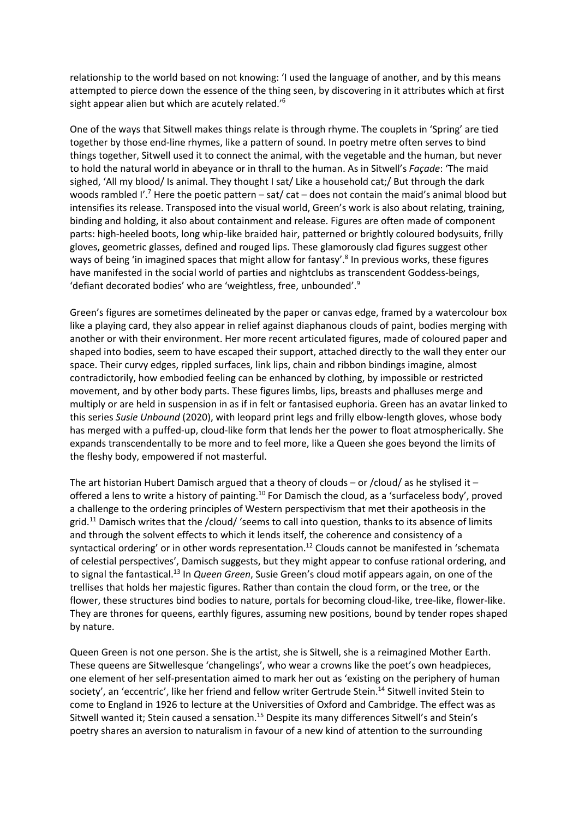relationship to the world based on not knowing: 'I used the language of another, and by this means attempted to pierce down the essence of the thing seen, by discovering in it attributes which at first sight appear alien but which are acutely related.<sup>'6</sup>

One of the ways that Sitwell makes things relate is through rhyme. The couplets in 'Spring' are tied together by those end-line rhymes, like a pattern of sound. In poetry metre often serves to bind things together, Sitwell used it to connect the animal, with the vegetable and the human, but never to hold the natural world in abeyance or in thrall to the human. As in Sitwell's *Façade*: 'The maid sighed, 'All my blood/ Is animal. They thought I sat/ Like a household cat;/ But through the dark woods rambled I'.<sup>7</sup> Here the poetic pattern – sat/ cat – does not contain the maid's animal blood but intensifies its release. Transposed into the visual world, Green's work is also about relating, training, binding and holding, it also about containment and release. Figures are often made of component parts: high-heeled boots, long whip-like braided hair, patterned or brightly coloured bodysuits, frilly gloves, geometric glasses, defined and rouged lips. These glamorously clad figures suggest other ways of being 'in imagined spaces that might allow for fantasy'.<sup>8</sup> In previous works, these figures have manifested in the social world of parties and nightclubs as transcendent Goddess-beings, 'defiant decorated bodies' who are 'weightless, free, unbounded'.9

Green's figures are sometimes delineated by the paper or canvas edge, framed by a watercolour box like a playing card, they also appear in relief against diaphanous clouds of paint, bodies merging with another or with their environment. Her more recent articulated figures, made of coloured paper and shaped into bodies, seem to have escaped their support, attached directly to the wall they enter our space. Their curvy edges, rippled surfaces, link lips, chain and ribbon bindings imagine, almost contradictorily, how embodied feeling can be enhanced by clothing, by impossible or restricted movement, and by other body parts. These figures limbs, lips, breasts and phalluses merge and multiply or are held in suspension in as if in felt or fantasised euphoria. Green has an avatar linked to this series *Susie Unbound* (2020), with leopard print legs and frilly elbow-length gloves, whose body has merged with a puffed-up, cloud-like form that lends her the power to float atmospherically. She expands transcendentally to be more and to feel more, like a Queen she goes beyond the limits of the fleshy body, empowered if not masterful.

The art historian Hubert Damisch argued that a theory of clouds – or /cloud/ as he stylised it – offered a lens to write a history of painting.<sup>10</sup> For Damisch the cloud, as a 'surfaceless body', proved a challenge to the ordering principles of Western perspectivism that met their apotheosis in the grid.<sup>11</sup> Damisch writes that the /cloud/ 'seems to call into question, thanks to its absence of limits and through the solvent effects to which it lends itself, the coherence and consistency of a syntactical ordering' or in other words representation.<sup>12</sup> Clouds cannot be manifested in 'schemata of celestial perspectives', Damisch suggests, but they might appear to confuse rational ordering, and to signal the fantastical.13 In *Queen Green*, Susie Green's cloud motif appears again, on one of the trellises that holds her majestic figures. Rather than contain the cloud form, or the tree, or the flower, these structures bind bodies to nature, portals for becoming cloud-like, tree-like, flower-like. They are thrones for queens, earthly figures, assuming new positions, bound by tender ropes shaped by nature.

Queen Green is not one person. She is the artist, she is Sitwell, she is a reimagined Mother Earth. These queens are Sitwellesque 'changelings', who wear a crowns like the poet's own headpieces, one element of her self-presentation aimed to mark her out as 'existing on the periphery of human society', an 'eccentric', like her friend and fellow writer Gertrude Stein.<sup>14</sup> Sitwell invited Stein to come to England in 1926 to lecture at the Universities of Oxford and Cambridge. The effect was as Sitwell wanted it; Stein caused a sensation.<sup>15</sup> Despite its many differences Sitwell's and Stein's poetry shares an aversion to naturalism in favour of a new kind of attention to the surrounding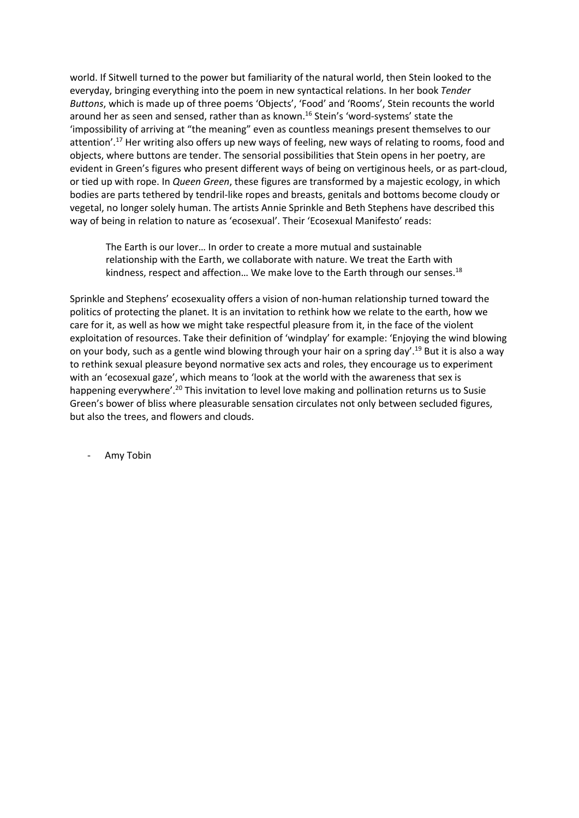world. If Sitwell turned to the power but familiarity of the natural world, then Stein looked to the everyday, bringing everything into the poem in new syntactical relations. In her book *Tender Buttons*, which is made up of three poems 'Objects', 'Food' and 'Rooms', Stein recounts the world around her as seen and sensed, rather than as known.<sup>16</sup> Stein's 'word-systems' state the 'impossibility of arriving at "the meaning" even as countless meanings present themselves to our attention'.<sup>17</sup> Her writing also offers up new ways of feeling, new ways of relating to rooms, food and objects, where buttons are tender. The sensorial possibilities that Stein opens in her poetry, are evident in Green's figures who present different ways of being on vertiginous heels, or as part-cloud, or tied up with rope. In *Queen Green*, these figures are transformed by a majestic ecology, in which bodies are parts tethered by tendril-like ropes and breasts, genitals and bottoms become cloudy or vegetal, no longer solely human. The artists Annie Sprinkle and Beth Stephens have described this way of being in relation to nature as 'ecosexual'. Their 'Ecosexual Manifesto' reads:

The Earth is our lover… In order to create a more mutual and sustainable relationship with the Earth, we collaborate with nature. We treat the Earth with kindness, respect and affection... We make love to the Earth through our senses.<sup>18</sup>

Sprinkle and Stephens' ecosexuality offers a vision of non-human relationship turned toward the politics of protecting the planet. It is an invitation to rethink how we relate to the earth, how we care for it, as well as how we might take respectful pleasure from it, in the face of the violent exploitation of resources. Take their definition of 'windplay' for example: 'Enjoying the wind blowing on your body, such as a gentle wind blowing through your hair on a spring day'.<sup>19</sup> But it is also a way to rethink sexual pleasure beyond normative sex acts and roles, they encourage us to experiment with an 'ecosexual gaze', which means to 'look at the world with the awareness that sex is happening everywhere'.<sup>20</sup> This invitation to level love making and pollination returns us to Susie Green's bower of bliss where pleasurable sensation circulates not only between secluded figures, but also the trees, and flowers and clouds.

Amy Tobin